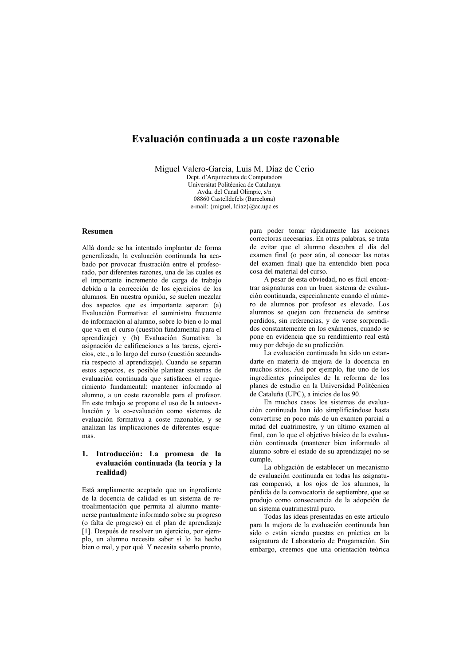# Evaluación continuada a un coste razonable

Miguel Valero-Garcia, Luis M. Díaz de Cerio

Dept. d'Arquitectura de Computadors Universitat Politécnica de Catalunya Avda. del Canal Olimpic, s/n 08860 Castelldefels (Barcelona) e-mail: {miguel, ldiaz}@ac.upc.es

# **Resumen**

Allá donde se ha intentado implantar de forma generalizada, la evaluación continuada ha acabado por provocar frustración entre el profesorado, por diferentes razones, una de las cuales es el importante incremento de carga de trabajo debida a la corrección de los ejercicios de los alumnos. En nuestra opinión, se suelen mezclar dos aspectos que es importante separar: (a) Evaluación Formativa: el suministro frecuente de información al alumno, sobre lo bien o lo mal que va en el curso (cuestión fundamental para el aprendizaje) y (b) Evaluación Sumativa: la asignación de calificaciones a las tareas, ejercicios, etc., a lo largo del curso (cuestión secundaria respecto al aprendizaje). Cuando se separan estos aspectos, es posible plantear sistemas de evaluación continuada que satisfacen el requerimiento fundamental: mantener informado al alumno, a un coste razonable para el profesor. En este trabajo se propone el uso de la autoevaluación y la co-evaluación como sistemas de evaluación formativa a coste razonable, y se analizan las implicaciones de diferentes esquemas

# 1. Introducción: La promesa de la evaluación continuada (la teoría y la realidad)

Está ampliamente aceptado que un ingrediente de la docencia de calidad es un sistema de retroalimentación que permita al alumno mantenerse puntualmente informado sobre su progreso (o falta de progreso) en el plan de aprendizaje [1]. Después de resolver un ejercicio, por ejemplo, un alumno necesita saber si lo ha hecho bien o mal, y por qué. Y necesita saberlo pronto, para poder tomar rápidamente las acciones correctoras necesarias. En otras palabras, se trata de evitar que el alumno descubra el día del examen final (o peor aún, al conocer las notas del examen final) que ha entendido bien poca cosa del material del curso.

A pesar de esta obviedad, no es fácil encontrar asignaturas con un buen sistema de evaluación continuada, especialmente cuando el número de alumnos por profesor es elevado. Los alumnos se quejan con frecuencia de sentirse perdidos, sin referencias, y de verse sorprendidos constantemente en los exámenes, cuando se pone en evidencia que su rendimiento real está muy por debajo de su predicción.

La evaluación continuada ha sido un estandarte en materia de mejora de la docencia en muchos sitios. Así por ejemplo, fue uno de los ingredientes principales de la reforma de los planes de estudio en la Universidad Politécnica de Cataluña (UPC), a inicios de los 90.

En muchos casos los sistemas de evaluación continuada han ido simplificándose hasta convertirse en poco más de un examen parcial a mitad del cuatrimestre, y un último examen al final, con lo que el objetivo básico de la evaluación continuada (mantener bien informado al alumno sobre el estado de su aprendizaje) no se cumple.

La obligación de establecer un mecanismo de evaluación continuada en todas las asignaturas compensó, a los ojos de los alumnos, la pérdida de la convocatoria de septiembre, que se produjo como consecuencia de la adopción de un sistema cuatrimestral puro.

Todas las ideas presentadas en este artículo para la mejora de la evaluación continuada han sido o están siendo puestas en práctica en la asignatura de Laboratorio de Progamación. Sin embargo, creemos que una orientación teórica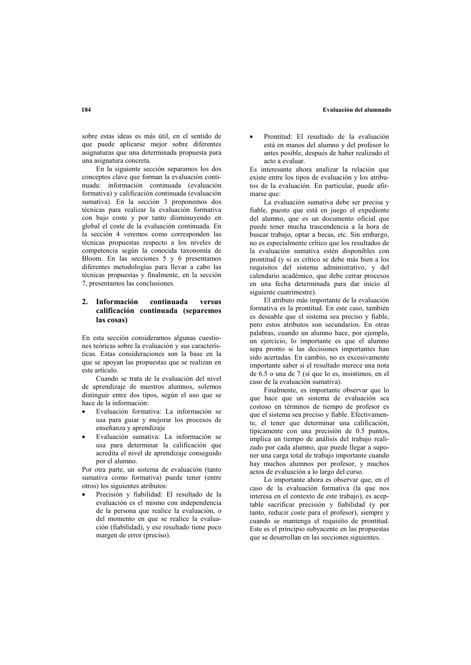### Evaluación del alumnado

sobre estas ideas es más útil, en el sentido de que puede aplicarse mejor sobre diferentes asignaturas que una determinada propuesta para una asignatura concreta

En la siguiente sección separamos los dos conceptos clave que forman la evaluación continuada: información continuada (evaluación formativa) y calificación continuada (evaluación sumativa). En la sección 3 proponemos dos técnicas para realizar la evaluación formativa con bajo coste y por tanto disminuyendo en global el coste de la evaluación continuada. En la sección 4 veremos como corresponden las técnicas propuestas respecto a los niveles de competencia según la conocida taxonomía de Bloom. En las secciones 5 y 6 presentamos diferentes metodologías para llevar a cabo las técnicas propuestas y finalmente, en la sección 7, presentamos las conclusiones.

#### 2. Información continuada versus calificación continuada (separemos las cosas)

En esta sección consideramos algunas cuestiones teóricas sobre la evaluación y sus características. Estas consideraciones son la base en la que se apoyan las propuestas que se realizan en este artículo

Cuando se trata de la evaluación del nivel de aprendizaje de nuestros alumnos, solemos distinguir entre dos tipos, según el uso que se hace de la información:

- Evaluación formativa: La información se usa para guiar y mejorar los procesos de enseñanza y aprendizaje
- Evaluación sumativa: La información se usa para determinar la calificación que acredita el nivel de aprendizaje conseguido por el alumno.

Por otra parte, un sistema de evaluación (tanto sumativa como formativa) puede tener (entre otros) los siguientes atributos:

Precisión y fiabilidad: El resultado de la evaluación es el mismo con independencia de la persona que realice la evaluación, o del momento en que se realice la evaluación (fiabilidad), y ese resultado tiene poco margen de error (preciso).

Prontitud: El resultado de la evaluación está en manos del alumno y del profesor lo antes posible, después de haber realizado el acto a evaluar

Es interesante abora analizar la relación que existe entre los tipos de evaluación y los atributos de la evaluación. En particular, puede afirmarse que:

La evaluación sumativa debe ser precisa y fiable, puesto que está en juego el expediente del alumno, que es un documento oficial que puede tener mucha trascendencia a la hora de buscar trabajo, optar a becas, etc. Sin embargo, no es especialmente crítico que los resultados de la evaluación sumativa estén disponibles con prontitud (y si es crítico se debe más bien a los requisitos del sistema administrativo, y del calendario académico, que debe cerrar procesos en una fecha determinada para dar inicio al siguiente cuatrimestre).

El atributo más importante de la evaluación formativa es la prontitud. En este caso, también es deseable que el sistema sea preciso y fiable, pero estos atributos son secundarios. En otras palabras, cuando un alumno hace, por ejemplo, un ejercicio, lo importante es que el alumno sepa pronto si las decisiones importantes han sido acertadas. En cambio, no es excesivamente importante saber si el resultado merece una nota de 6.5 o una de 7 (sí que lo es, insistimos, en el caso de la evaluación sumativa).

Finalmente, es importante observar que lo que hace que un sistema de evaluación sea costoso en términos de tiempo de profesor es que el sistema sea preciso y fiable. Efectivamente, el tener que determinar una calificación, típicamente con una precisión de 0.5 puntos, implica un tiempo de análisis del trabajo realizado por cada alumno, que puede llegar a suponer una carga total de trabajo importante cuando hay muchos alumnos por profesor, y muchos actos de evaluación a lo largo del curso.

Lo importante ahora es observar que, en el caso de la evaluación formativa (la que nos interesa en el contexto de este trabajo), es aceptable sacrificar precisión y fiabilidad (y por tanto, reducir coste para el profesor), siempre v cuando se mantenga el requisito de prontitud. Este es el principio subyacente en las propuestas que se desarrollan en las secciones siguientes.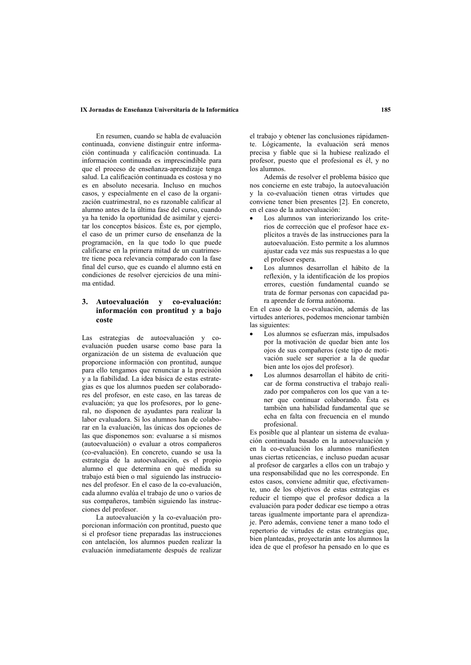### IX Jornadas de Enseñanza Universitaria de la Informática

En resumen, cuando se habla de evaluación continuada, conviene distinguir entre información continuada y calificación continuada. La información continuada es imprescindible para que el proceso de enseñanza-aprendizaje tenga salud. La calificación continuada es costosa y no es en absoluto necesaria. Incluso en muchos casos, y especialmente en el caso de la organización cuatrimestral, no es razonable calificar al alumno antes de la última fase del curso, cuando ya ha tenido la oportunidad de asimilar y ejercitar los conceptos básicos. Éste es, por ejemplo, el caso de un primer curso de enseñanza de la programación, en la que todo lo que puede calificarse en la primera mitad de un cuatrimestre tiene poca relevancia comparado con la fase final del curso, que es cuando el alumno está en condiciones de resolver ejercicios de una mínima entidad

### $\mathbf{3}$ Autoevaluación v co-evaluación: información con prontitud y a bajo coste

Las estrategias de autoevaluación y coevaluación pueden usarse como base para la organización de un sistema de evaluación que proporcione información con prontitud, aunque para ello tengamos que renunciar a la precisión y a la fiabilidad. La idea básica de estas estrategias es que los alumnos pueden ser colaboradores del profesor, en este caso, en las tareas de evaluación; ya que los profesores, por lo general, no disponen de ayudantes para realizar la labor evaluadora. Si los alumnos han de colaborar en la evaluación, las únicas dos opciones de las que disponemos son: evaluarse a sí mismos (autoevaluación) o evaluar a otros compañeros (co-evaluación). En concreto, cuando se usa la estrategia de la autoevaluación, es el propio alumno el que determina en qué medida su trabajo está bien o mal siguiendo las instrucciones del profesor. En el caso de la co-evaluación, cada alumno evalúa el trabajo de uno o varios de sus compañeros, también siguiendo las instrucciones del profesor.

La autoevaluación y la co-evaluación proporcionan información con prontitud, puesto que si el profesor tiene preparadas las instrucciones con antelación, los alumnos pueden realizar la evaluación inmediatamente después de realizar el trabajo y obtener las conclusiones rápidamente. Lógicamente, la evaluación será menos precisa y fiable que si la hubiese realizado el profesor, puesto que el profesional es él, y no los alumnos.

Además de resolver el problema básico que nos concierne en este trabajo, la autoevaluación v la co-evaluación tienen otras virtudes que conviene tener bien presentes [2]. En concreto. en el caso de la autoevaluación:

- Los alumnos van interiorizando los criterios de corrección que el profesor hace explícitos a través de las instrucciones para la autoevaluación. Esto permite a los alumnos ajustar cada vez más sus respuestas a lo que el profesor espera.
- Los alumnos desarrollan el hábito de la reflexión, y la identificación de los propios errores cuestión fundamental cuando se trata de formar personas con capacidad para aprender de forma autónoma.

En el caso de la co-evaluación, además de las virtudes anteriores, podemos mencionar también las siguientes:

- Los alumnos se esfuerzan más, impulsados por la motivación de quedar bien ante los ojos de sus compañeros (este tipo de motivación suele ser superior a la de quedar bien ante los ojos del profesor).
- Los alumnos desarrollan el hábito de criticar de forma constructiva el trabajo realizado por compañeros con los que van a tener que continuar colaborando. Ésta es también una habilidad fundamental que se echa en falta con frecuencia en el mundo profesional.

Es posible que al plantear un sistema de evaluación continuada basado en la autoevaluación y en la co-evaluación los alumnos manifiesten unas ciertas reticencias, e incluso puedan acusar al profesor de cargarles a ellos con un trabajo y una responsabilidad que no les corresponde. En estos casos, conviene admitir que, efectivamente, uno de los objetivos de estas estrategias es reducir el tiempo que el profesor dedica a la evaluación para poder dedicar ese tiempo a otras tareas igualmente importante para el aprendizaje. Pero además, conviene tener a mano todo el repertorio de virtudes de estas estrategias que, bien planteadas, proyectarán ante los alumnos la idea de que el profesor ha pensado en lo que es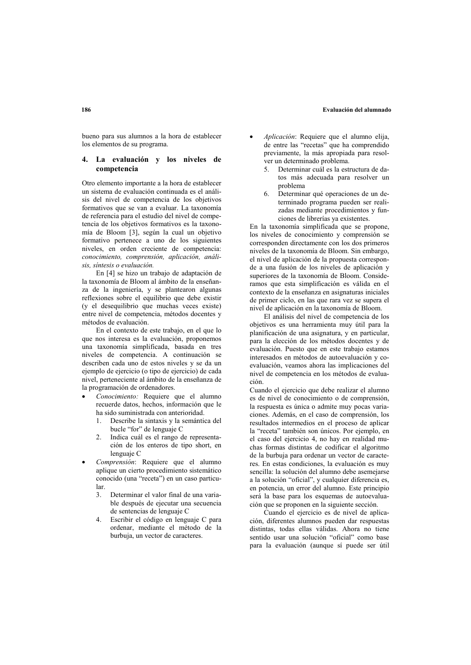### Evaluación del alumnado

bueno para sus alumnos a la hora de establecer los elementos de su programa.

#### $\overline{\mathbf{4}}$ La evaluación y los niveles de competencia

Otro elemento importante a la hora de establecer un sistema de evaluación continuada es el análisis del nivel de competencia de los objetivos formativos que se van a evaluar. La taxonomía de referencia para el estudio del nivel de competencia de los objetivos formativos es la taxonomía de Bloom [3], según la cual un objetivo formativo pertenece a uno de los siguientes niveles, en orden creciente de competencia: conocimiento, comprensión, aplicación, análisis, síntesis o evaluación.

En [4] se hizo un trabaio de adaptación de la taxonomía de Bloom al ámbito de la enseñanza de la ingeniería, y se plantearon algunas reflexiones sobre el equilibrio que debe existir (y el desequilibrio que muchas veces existe) entre nivel de competencia, métodos docentes y métodos de evaluación.

En el contexto de este trabajo, en el que lo que nos interesa es la evaluación, proponemos una taxonomía simplificada, basada en tres niveles de competencia. A continuación se describen cada uno de estos niveles y se da un ejemplo de ejercicio (o tipo de ejercicio) de cada nivel, perteneciente al ámbito de la enseñanza de la programación de ordenadores.

- Conocimiento: Requiere que el alumno recuerde datos, hechos, información que le ha sido suministrada con anterioridad.
	- Describe la sintaxis y la semántica del 1. bucle "for" de lenguaje C
	- $\mathcal{L}$ Indica cuál es el rango de representación de los enteros de tipo short, en lenguaje C
- Comprensión: Requiere que el alumno aplique un cierto procedimiento sistemático conocido (una "receta") en un caso particu- $1ar$ 
	- $\mathbf{3}$ Determinar el valor final de una variable después de ejecutar una secuencia de sentencias de lenguaje C
	- $4<sup>1</sup>$ Escribir el código en lenguaje C para ordenar, mediante el método de la burbuja, un vector de caracteres.
- Aplicación: Requiere que el alumno elija, de entre las "recetas" que ha comprendido previamente, la más apropiada para resolver un determinado problema.
	- Determinar cuál es la estructura de da- $\zeta$ tos más adecuada para resolver un problema
	- Determinar qué operaciones de un de-6 terminado programa pueden ser realizadas mediante procedimientos y funciones de librerías ya existentes.

En la taxonomía simplificada que se propone, los niveles de conocimiento y comprensión se corresponden directamente con los dos primeros niveles de la taxonomía de Bloom. Sin embargo. el nivel de aplicación de la propuesta corresponde a una fusión de los niveles de aplicación y superiores de la taxonomía de Bloom. Consideramos que esta simplificación es válida en el contexto de la enseñanza en asignaturas iniciales de primer ciclo, en las que rara vez se supera el nivel de aplicación en la taxonomía de Bloom.

El análisis del nivel de competencia de los obietivos es una herramienta muy útil para la planificación de una asignatura, y en particular, para la elección de los métodos docentes y de evaluación. Puesto que en este trabajo estamos interesados en métodos de autoevaluación y coevaluación, veamos ahora las implicaciones del nivel de competencia en los métodos de evaluación

Cuando el ejercicio que debe realizar el alumno es de nivel de conocimiento o de comprensión, la respuesta es única o admite muy pocas variaciones. Además, en el caso de comprensión, los resultados intermedios en el proceso de aplicar la "receta" también son únicos. Por ejemplo, en el caso del ejercicio 4, no hay en realidad muchas formas distintas de codificar el algoritmo de la burbuja para ordenar un vector de caracteres. En estas condiciones, la evaluación es muy sencilla: la solución del alumno debe asemejarse a la solución "oficial", y cualquier diferencia es, en potencia, un error del alumno. Este principio será la base para los esquemas de autoevaluación que se proponen en la siguiente sección.

Cuando el ejercicio es de nivel de aplicación, diferentes alumnos pueden dar respuestas distintas, todas ellas válidas. Ahora no tiene sentido usar una solución "oficial" como base para la evaluación (aunque sí puede ser útil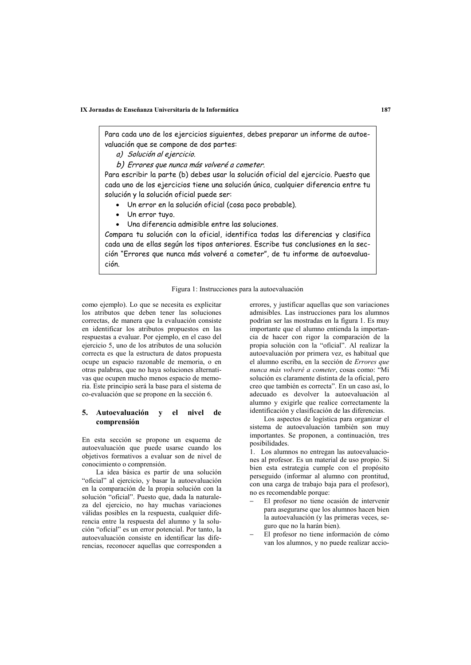IX Jornadas de Enseñanza Universitaria de la Informática

Para cada uno de los ejercicios siguientes, debes preparar un informe de autoevaluación que se compone de dos partes:

- a) Solución al ejercicio.
- b) Errores que nunca más volveré a cometer.

Para escribir la parte (b) debes usar la solución oficial del ejercicio. Puesto que cada uno de los ejercicios tiene una solución única, cualquier diferencia entre tu solución y la solución oficial puede ser:

- · Un error en la solución oficial (cosa poco probable).
- Un error tuyo.
- Una diferencia admisible entre las soluciones.

Compara tu solución con la oficial, identifica todas las diferencias y clasifica cada una de ellas según los tipos anteriores. Escribe tus conclusiones en la sección "Errores que nunca más volveré a cometer", de tu informe de autoevaluación.

## Figura 1: Instrucciones para la autoevaluación

como ejemplo). Lo que se necesita es explicitar los atributos que deben tener las soluciones correctas, de manera que la evaluación consiste en identificar los atributos propuestos en las respuestas a evaluar. Por ejemplo, en el caso del ejercicio 5, uno de los atributos de una solución correcta es que la estructura de datos propuesta ocupe un espacio razonable de memoria o en otras palabras, que no haya soluciones alternativas que ocupen mucho menos espacio de memoria. Este principio será la base para el sistema de co-evaluación que se propone en la sección 6.

## 5. Autoevaluación y el nivel de comprensión

En esta sección se propone un esquema de autoevaluación que puede usarse cuando los objetivos formativos a evaluar son de nivel de conocimiento o comprensión.

La idea básica es partir de una solución "oficial" al ejercicio, y basar la autoevaluación en la comparación de la propia solución con la solución "oficial". Puesto que, dada la naturaleza del ejercicio, no hay muchas variaciones válidas posibles en la respuesta, cualquier diferencia entre la respuesta del alumno y la solución "oficial" es un error potencial. Por tanto, la autoevaluación consiste en identificar las diferencias, reconocer aquellas que corresponden a errores, y justificar aquellas que son variaciones admisibles. Las instrucciones para los alumnos podrían ser las mostradas en la figura 1. Es muy importante que el alumno entienda la importancia de hacer con rigor la comparación de la propia solución con la "oficial". Al realizar la autoevaluación por primera vez, es habitual que el alumno escriba, en la sección de Errores que nunca más volveré a cometer, cosas como: "Mi solución es claramente distinta de la oficial, pero creo que también es correcta". En un caso así, lo adecuado es devolver la autoevaluación al alumno y exigirle que realice correctamente la identificación y clasificación de las diferencias.

Los aspectos de logística para organizar el sistema de autoevaluación también son muy importantes. Se proponen, a continuación, tres posibilidades.

1. Los alumnos no entregan las autoevaluaciones al profesor. Es un material de uso propio. Si bien esta estrategia cumple con el propósito perseguido (informar al alumno con prontitud, con una carga de trabajo baja para el profesor), no es recomendable porque:

- El profesor no tiene ocasión de intervenir para asegurarse que los alumnos hacen bien la autoevaluación (y las primeras veces, seguro que no la harán bien).
- El profesor no tiene información de cómo van los alumnos, y no puede realizar accio-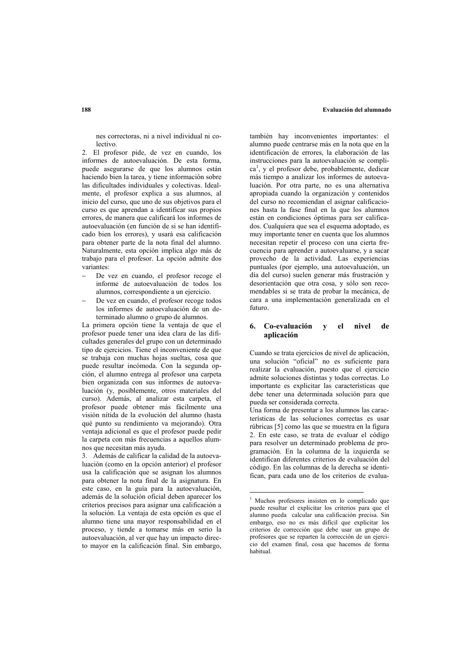nes correctoras, ni a nivel individual ni colectivo

2. El profesor pide, de vez en cuando, los informes de autoevaluación. De esta forma. puede asegurarse de que los alumnos están haciendo bien la tarea, y tiene información sobre las dificultades individuales y colectivas. Idealmente, el profesor explica a sus alumnos, al inicio del curso, que uno de sus objetivos para el curso es que aprendan a identificar sus propios errores, de manera que calificará los informes de autoevaluación (en función de si se han identificado bien los errores), y usará esa calificación para obtener parte de la nota final del alumno. Naturalmente, esta opción implica algo más de trabajo para el profesor. La opción admite dos variantes:

- De vez en cuando, el profesor recoge el informe de autoevaluación de todos los alumnos, correspondiente a un ejercicio.
- De vez en cuando, el profesor recoge todos los informes de autoevaluación de un determinado alumno o grupo de alumnos.

La primera opción tiene la ventaja de que el profesor puede tener una idea clara de las dificultades generales del grupo con un determinado tipo de ejercicios. Tiene el inconveniente de que se trabaja con muchas hojas sueltas, cosa que puede resultar incómoda. Con la segunda opción, el alumno entrega al profesor una carpeta bien organizada con sus informes de autoevaluación (y, posiblemente, otros materiales del curso). Además, al analizar esta carpeta, el profesor puede obtener más fácilmente una visión nítida de la evolución del alumno (hasta qué punto su rendimiento va mejorando). Otra ventaja adicional es que el profesor puede pedir la carneta con más frecuencias a aquellos alumnos que necesitan más avuda.

3. Además de calificar la calidad de la autoevaluación (como en la opción anterior) el profesor usa la calificación que se asignan los alumnos para obtener la nota final de la asignatura. En este caso, en la guía para la autoevaluación, además de la solución oficial deben aparecer los criterios precisos para asignar una calificación a la solución. La ventaja de esta opción es que el alumno tiene una mayor responsabilidad en el proceso, y tiende a tomarse más en serio la autoevaluación, al ver que hay un impacto directo mayor en la calificación final. Sin embargo, también hay inconvenientes importantes: el alumno puede centrarse más en la nota que en la identificación de errores. la elaboración de las instrucciones para la autoevaluación se complica<sup>1</sup>, y el profesor debe, probablemente, dedicar más tiempo a analizar los informes de autoevaluación. Por otra parte, no es una alternativa apropiada cuando la organización y contenidos del curso no recomiendan el asignar calificaciones hasta la fase final en la que los alumnos están en condiciones óptimas para ser calificados. Cualquiera que sea el esquema adoptado, es muy importante tener en cuenta que los alumnos necesitan repetir el proceso con una cierta frecuencia para aprender a autoevaluarse, y a sacar provecho de la actividad. Las experiencias puntuales (por ejemplo, una autoevaluación, un día del curso) suelen generar más frustración y desorientación que otra cosa, y sólo son recomendables si se trata de probar la mecánica. de cara a una implementación generalizada en el futuro.

#### 6. Co-evaluación  $\overline{\mathbf{v}}$ el nivel de aplicación

Cuando se trata ejercicios de nivel de aplicación una solución "oficial" no es suficiente para realizar la evaluación, puesto que el ejercicio admite soluciones distintas y todas correctas. Lo importante es explicitar las características que debe tener una determinada solución para que pueda ser considerada correcta.

Una forma de presentar a los alumnos las características de las soluciones correctas es usar rúbricas [5] como las que se muestra en la figura 2. En este caso, se trata de evaluar el código para resolver un determinado problema de programación. En la columna de la izquierda se identifican diferentes criterios de evaluación del código. En las columnas de la derecha se identifican, para cada uno de los criterios de evalua-

<sup>&</sup>lt;sup>1</sup> Muchos profesores insisten en lo complicado que puede resultar el explicitar los criterios para que el alumno pueda calcular una calificación precisa. Sin embargo, eso no es más difícil que explicitar los criterios de corrección que debe usar un grupo de profesores que se reparten la corrección de un ejercicio del examen final, cosa que hacemos de forma habitual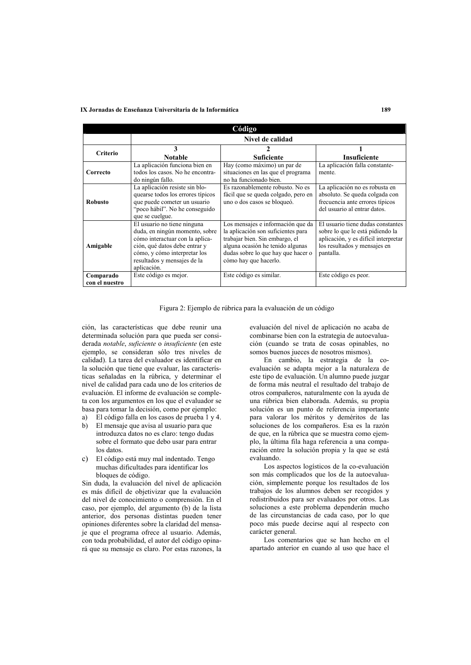### IX Jornadas de Enseñanza Universitaria de la Informática

| Código                      |                                                                                                                                                                                                                 |                                                                                                                                                                                                              |                                                                                                                                                            |
|-----------------------------|-----------------------------------------------------------------------------------------------------------------------------------------------------------------------------------------------------------------|--------------------------------------------------------------------------------------------------------------------------------------------------------------------------------------------------------------|------------------------------------------------------------------------------------------------------------------------------------------------------------|
|                             | Nivel de calidad                                                                                                                                                                                                |                                                                                                                                                                                                              |                                                                                                                                                            |
| Criterio                    | 3<br><b>Notable</b>                                                                                                                                                                                             | Suficiente                                                                                                                                                                                                   | Insuficiente                                                                                                                                               |
| Correcto                    | La aplicación funciona bien en<br>todos los casos. No he encontra-<br>do ningún fallo.                                                                                                                          | Hay (como máximo) un par de<br>situaciones en las que el programa<br>no ha funcionado bien.                                                                                                                  | La aplicación falla constante-<br>mente                                                                                                                    |
| <b>Robusto</b>              | La aplicación resiste sin blo-<br>quearse todos los errores típicos<br>que puede cometer un usuario<br>"poco hábil". No he conseguido<br>que se cuelgue.                                                        | Es razonablemente robusto. No es<br>fácil que se queda colgado, pero en<br>uno o dos casos se bloqueó.                                                                                                       | La aplicación no es robusta en<br>absoluto. Se queda colgada con<br>frecuencia ante errores típicos<br>del usuario al entrar datos                         |
| Amigable                    | El usuario no tiene ninguna<br>duda, en ningún momento, sobre<br>cómo interactuar con la aplica-<br>ción, qué datos debe entrar y<br>cómo, y cómo interpretar los<br>resultados y mensajes de la<br>aplicación. | Los mensajes e información que da<br>la aplicación son suficientes para<br>trabajar bien. Sin embargo, el<br>alguna ocasión he tenido algunas<br>dudas sobre lo que hay que hacer o<br>cómo hay que hacerlo. | El usuario tiene dudas constantes<br>sobre lo que le está pidiendo la<br>aplicación, y es difícil interpretar<br>los resultados y mensajes en<br>pantalla. |
| Comparado<br>con el nuestro | Este código es mejor.                                                                                                                                                                                           | Este código es similar.                                                                                                                                                                                      | Este código es peor.                                                                                                                                       |

Figura 2: Ejemplo de rúbrica para la evaluación de un código

ción, las características que debe reunir una determinada solución para que pueda ser considerada notable, suficiente o insuficiente (en este ejemplo, se consideran sólo tres niveles de calidad). La tarea del evaluador es identificar en la solución que tiene que evaluar, las características señaladas en la rúbrica, y determinar el nivel de calidad para cada uno de los criterios de evaluación. El informe de evaluación se completa con los argumentos en los que el evaluador se basa para tomar la decisión, como por ejemplo:

- El código falla en los casos de prueba 1 y 4.  $a)$
- El mensaje que avisa al usuario para que  $h)$ introduzca datos no es claro: tengo dudas sobre el formato que debo usar para entrar los datos.
- c) El código está muy mal indentado. Tengo muchas dificultades para identificar los bloques de código.

Sin duda, la evaluación del nivel de aplicación es más difícil de objetivizar que la evaluación del nivel de conocimiento o comprensión. En el caso, por ejemplo, del argumento (b) de la lista anterior, dos personas distintas pueden tener opiniones diferentes sobre la claridad del mensaje que el programa ofrece al usuario. Además. con toda probabilidad, el autor del código opinará que su mensaje es claro. Por estas razones, la evaluación del nivel de aplicación no acaba de combinarse bien con la estrategia de autoevaluación (cuando se trata de cosas opinables, no somos buenos jueces de nosotros mismos).

En cambio, la estrategia de la coevaluación se adapta meior a la naturaleza de este tipo de evaluación. Un alumno puede juzgar de forma más neutral el resultado del trabajo de otros compañeros, naturalmente con la ayuda de una rúbrica bien elaborada. Además, su propia solución es un punto de referencia importante para valorar los méritos y deméritos de las soluciones de los compañeros. Esa es la razón de que, en la rúbrica que se muestra como ejemplo, la última fila haga referencia a una comparación entre la solución propia y la que se está evaluando

Los aspectos logísticos de la co-evaluación son más complicados que los de la autoevaluación, simplemente porque los resultados de los trabajos de los alumnos deben ser recogidos y redistribuidos para ser evaluados por otros. Las soluciones a este problema dependerán mucho de las circunstancias de cada caso, por lo que poco más puede decirse aquí al respecto con carácter general.

Los comentarios que se han hecho en el apartado anterior en cuando al uso que hace el

189